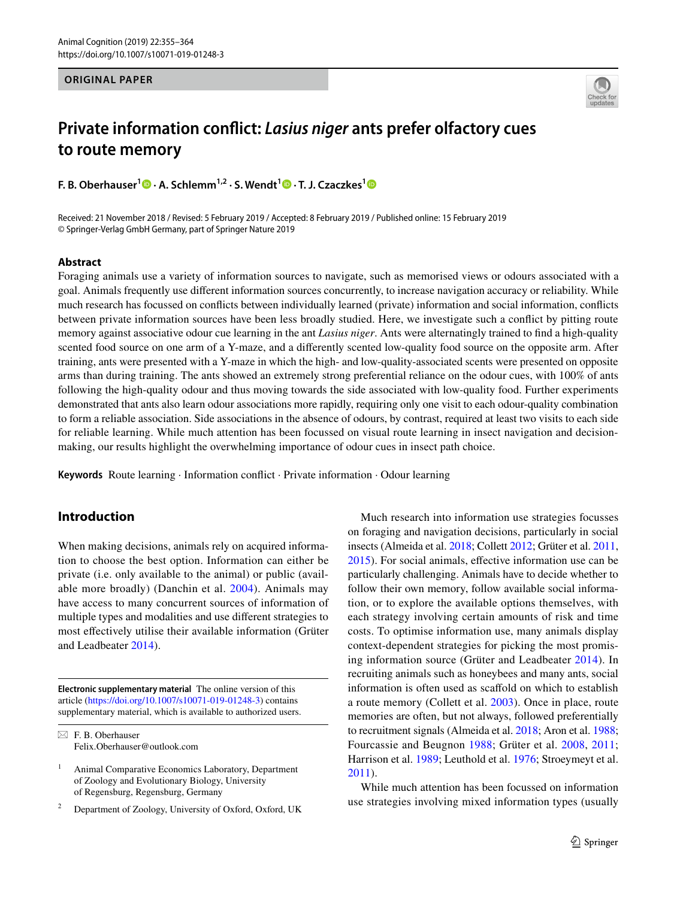### **ORIGINAL PAPER**



# **Private information conflict:** *Lasius niger* **ants prefer olfactory cues to route memory**

**F.B. Oberhauser**<sup>[1](http://orcid.org/0000-0002-1350-4975)</sup>  $\bullet$  **· A. Schlemm**<sup>1,2</sup> [·](http://orcid.org/0000-0002-8950-2845) S. Wendt<sup>1</sup>  $\bullet$  · T. J. Czaczkes<sup>1</sup>  $\bullet$ 

Received: 21 November 2018 / Revised: 5 February 2019 / Accepted: 8 February 2019 / Published online: 15 February 2019 © Springer-Verlag GmbH Germany, part of Springer Nature 2019

### **Abstract**

Foraging animals use a variety of information sources to navigate, such as memorised views or odours associated with a goal. Animals frequently use different information sources concurrently, to increase navigation accuracy or reliability. While much research has focussed on conflicts between individually learned (private) information and social information, conflicts between private information sources have been less broadly studied. Here, we investigate such a conflict by pitting route memory against associative odour cue learning in the ant *Lasius niger*. Ants were alternatingly trained to find a high-quality scented food source on one arm of a Y-maze, and a differently scented low-quality food source on the opposite arm. After training, ants were presented with a Y-maze in which the high- and low-quality-associated scents were presented on opposite arms than during training. The ants showed an extremely strong preferential reliance on the odour cues, with 100% of ants following the high-quality odour and thus moving towards the side associated with low-quality food. Further experiments demonstrated that ants also learn odour associations more rapidly, requiring only one visit to each odour-quality combination to form a reliable association. Side associations in the absence of odours, by contrast, required at least two visits to each side for reliable learning. While much attention has been focussed on visual route learning in insect navigation and decisionmaking, our results highlight the overwhelming importance of odour cues in insect path choice.

**Keywords** Route learning · Information conflict · Private information · Odour learning

# **Introduction**

When making decisions, animals rely on acquired information to choose the best option. Information can either be private (i.e. only available to the animal) or public (available more broadly) (Danchin et al. [2004](#page-8-0)). Animals may have access to many concurrent sources of information of multiple types and modalities and use different strategies to most effectively utilise their available information (Grüter and Leadbeater [2014\)](#page-8-1).

**Electronic supplementary material** The online version of this article [\(https://doi.org/10.1007/s10071-019-01248-3\)](https://doi.org/10.1007/s10071-019-01248-3) contains supplementary material, which is available to authorized users.

<sup>2</sup> Department of Zoology, University of Oxford, Oxford, UK

Much research into information use strategies focusses on foraging and navigation decisions, particularly in social insects (Almeida et al. [2018](#page-7-0); Collett [2012](#page-8-2); Grüter et al. [2011,](#page-8-3) [2015](#page-8-4)). For social animals, effective information use can be particularly challenging. Animals have to decide whether to follow their own memory, follow available social information, or to explore the available options themselves, with each strategy involving certain amounts of risk and time costs. To optimise information use, many animals display context-dependent strategies for picking the most promising information source (Grüter and Leadbeater [2014](#page-8-1)). In recruiting animals such as honeybees and many ants, social information is often used as scaffold on which to establish a route memory (Collett et al. [2003](#page-8-5)). Once in place, route memories are often, but not always, followed preferentially to recruitment signals (Almeida et al. [2018](#page-7-0); Aron et al. [1988](#page-7-1); Fourcassie and Beugnon [1988](#page-8-6); Grüter et al. [2008,](#page-8-7) [2011](#page-8-3); Harrison et al. [1989;](#page-8-8) Leuthold et al. [1976;](#page-9-0) Stroeymeyt et al. [2011](#page-9-1)).

While much attention has been focussed on information use strategies involving mixed information types (usually

 $\boxtimes$  F. B. Oberhauser Felix.Oberhauser@outlook.com

<sup>&</sup>lt;sup>1</sup> Animal Comparative Economics Laboratory, Department of Zoology and Evolutionary Biology, University of Regensburg, Regensburg, Germany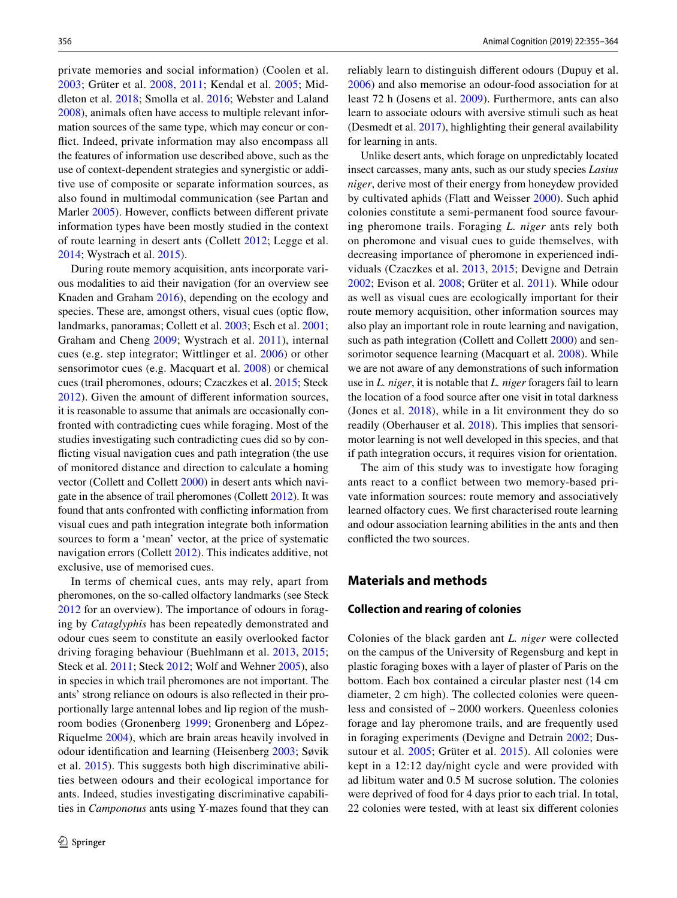private memories and social information) (Coolen et al. [2003;](#page-8-9) Grüter et al. [2008,](#page-8-7) [2011](#page-8-3); Kendal et al. [2005;](#page-9-2) Middleton et al. [2018](#page-9-3); Smolla et al. [2016](#page-9-4); Webster and Laland [2008](#page-9-5)), animals often have access to multiple relevant information sources of the same type, which may concur or conflict. Indeed, private information may also encompass all the features of information use described above, such as the use of context-dependent strategies and synergistic or additive use of composite or separate information sources, as also found in multimodal communication (see Partan and Marler [2005](#page-9-6)). However, conflicts between different private information types have been mostly studied in the context of route learning in desert ants (Collett [2012](#page-8-2); Legge et al. [2014](#page-9-7); Wystrach et al. [2015\)](#page-9-8).

During route memory acquisition, ants incorporate various modalities to aid their navigation (for an overview see Knaden and Graham [2016](#page-9-9)), depending on the ecology and species. These are, amongst others, visual cues (optic flow, landmarks, panoramas; Collett et al. [2003;](#page-8-5) Esch et al. [2001](#page-8-10); Graham and Cheng [2009;](#page-8-11) Wystrach et al. [2011](#page-9-10)), internal cues (e.g. step integrator; Wittlinger et al. [2006\)](#page-9-11) or other sensorimotor cues (e.g. Macquart et al. [2008](#page-9-12)) or chemical cues (trail pheromones, odours; Czaczkes et al. [2015;](#page-8-12) Steck [2012](#page-9-13)). Given the amount of different information sources, it is reasonable to assume that animals are occasionally confronted with contradicting cues while foraging. Most of the studies investigating such contradicting cues did so by conflicting visual navigation cues and path integration (the use of monitored distance and direction to calculate a homing vector (Collett and Collett [2000](#page-8-13)) in desert ants which navigate in the absence of trail pheromones (Collett [2012\)](#page-8-2). It was found that ants confronted with conflicting information from visual cues and path integration integrate both information sources to form a 'mean' vector, at the price of systematic navigation errors (Collett [2012\)](#page-8-2). This indicates additive, not exclusive, use of memorised cues.

In terms of chemical cues, ants may rely, apart from pheromones, on the so-called olfactory landmarks (see Steck [2012](#page-9-13) for an overview). The importance of odours in foraging by *Cataglyphis* has been repeatedly demonstrated and odour cues seem to constitute an easily overlooked factor driving foraging behaviour (Buehlmann et al. [2013,](#page-7-2) [2015](#page-7-3); Steck et al. [2011](#page-9-14); Steck [2012;](#page-9-13) Wolf and Wehner [2005\)](#page-9-15), also in species in which trail pheromones are not important. The ants' strong reliance on odours is also reflected in their proportionally large antennal lobes and lip region of the mushroom bodies (Gronenberg [1999](#page-8-14); Gronenberg and López-Riquelme [2004](#page-8-15)), which are brain areas heavily involved in odour identification and learning (Heisenberg [2003;](#page-8-16) Søvik et al. [2015\)](#page-9-16). This suggests both high discriminative abilities between odours and their ecological importance for ants. Indeed, studies investigating discriminative capabilities in *Camponotus* ants using Y-mazes found that they can reliably learn to distinguish different odours (Dupuy et al. [2006\)](#page-8-17) and also memorise an odour-food association for at least 72 h (Josens et al. [2009](#page-8-18)). Furthermore, ants can also learn to associate odours with aversive stimuli such as heat (Desmedt et al. [2017\)](#page-8-19), highlighting their general availability for learning in ants.

Unlike desert ants, which forage on unpredictably located insect carcasses, many ants, such as our study species *Lasius niger*, derive most of their energy from honeydew provided by cultivated aphids (Flatt and Weisser [2000\)](#page-8-20). Such aphid colonies constitute a semi-permanent food source favouring pheromone trails. Foraging *L. niger* ants rely both on pheromone and visual cues to guide themselves, with decreasing importance of pheromone in experienced individuals (Czaczkes et al. [2013](#page-8-21), [2015;](#page-8-12) Devigne and Detrain [2002](#page-8-22); Evison et al. [2008](#page-8-23); Grüter et al. [2011](#page-8-3)). While odour as well as visual cues are ecologically important for their route memory acquisition, other information sources may also play an important role in route learning and navigation, such as path integration (Collett and Collett [2000\)](#page-8-13) and sensorimotor sequence learning (Macquart et al. [2008](#page-9-12)). While we are not aware of any demonstrations of such information use in *L. niger*, it is notable that *L. niger* foragers fail to learn the location of a food source after one visit in total darkness (Jones et al. [2018\)](#page-8-24), while in a lit environment they do so readily (Oberhauser et al. [2018](#page-9-17)). This implies that sensorimotor learning is not well developed in this species, and that if path integration occurs, it requires vision for orientation.

The aim of this study was to investigate how foraging ants react to a conflict between two memory-based private information sources: route memory and associatively learned olfactory cues. We first characterised route learning and odour association learning abilities in the ants and then conflicted the two sources.

### **Materials and methods**

### **Collection and rearing of colonies**

Colonies of the black garden ant *L. niger* were collected on the campus of the University of Regensburg and kept in plastic foraging boxes with a layer of plaster of Paris on the bottom. Each box contained a circular plaster nest (14 cm diameter, 2 cm high). The collected colonies were queenless and consisted of ~ 2000 workers. Queenless colonies forage and lay pheromone trails, and are frequently used in foraging experiments (Devigne and Detrain [2002;](#page-8-22) Dussutour et al. [2005;](#page-8-25) Grüter et al. [2015\)](#page-8-4). All colonies were kept in a 12:12 day/night cycle and were provided with ad libitum water and 0.5 M sucrose solution. The colonies were deprived of food for 4 days prior to each trial. In total, 22 colonies were tested, with at least six different colonies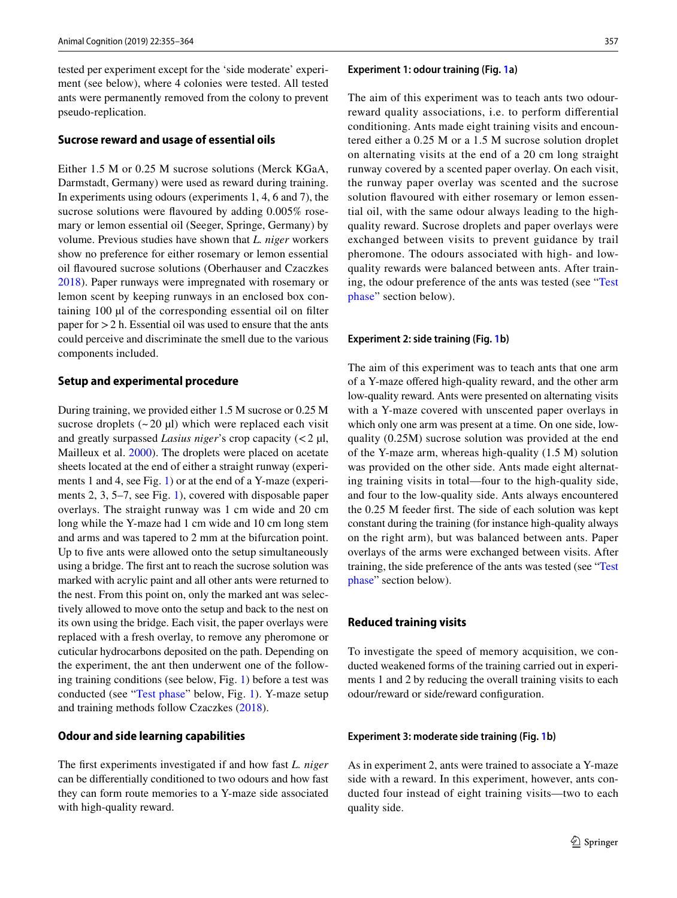tested per experiment except for the 'side moderate' experiment (see below), where 4 colonies were tested. All tested ants were permanently removed from the colony to prevent pseudo-replication.

### **Sucrose reward and usage of essential oils**

Either 1.5 M or 0.25 M sucrose solutions (Merck KGaA, Darmstadt, Germany) were used as reward during training. In experiments using odours (experiments 1, 4, 6 and 7), the sucrose solutions were flavoured by adding 0.005% rosemary or lemon essential oil (Seeger, Springe, Germany) by volume. Previous studies have shown that *L. niger* workers show no preference for either rosemary or lemon essential oil flavoured sucrose solutions (Oberhauser and Czaczkes [2018](#page-9-18)). Paper runways were impregnated with rosemary or lemon scent by keeping runways in an enclosed box containing 100 µl of the corresponding essential oil on filter paper for  $> 2$  h. Essential oil was used to ensure that the ants could perceive and discriminate the smell due to the various components included.

### **Setup and experimental procedure**

During training, we provided either 1.5 M sucrose or 0.25 M sucrose droplets  $(-20 \mu l)$  which were replaced each visit and greatly surpassed *Lasius niger*'s crop capacity (<2 µl, Mailleux et al. [2000\)](#page-9-19). The droplets were placed on acetate sheets located at the end of either a straight runway (experiments 1 and 4, see Fig. [1](#page-3-0)) or at the end of a Y-maze (experiments 2, 3, 5–7, see Fig. [1\)](#page-3-0), covered with disposable paper overlays. The straight runway was 1 cm wide and 20 cm long while the Y-maze had 1 cm wide and 10 cm long stem and arms and was tapered to 2 mm at the bifurcation point. Up to five ants were allowed onto the setup simultaneously using a bridge. The first ant to reach the sucrose solution was marked with acrylic paint and all other ants were returned to the nest. From this point on, only the marked ant was selectively allowed to move onto the setup and back to the nest on its own using the bridge. Each visit, the paper overlays were replaced with a fresh overlay, to remove any pheromone or cuticular hydrocarbons deposited on the path. Depending on the experiment, the ant then underwent one of the following training conditions (see below, Fig. [1](#page-3-0)) before a test was conducted (see "[Test phase](#page-4-0)" below, Fig. [1](#page-3-0)). Y-maze setup and training methods follow Czaczkes ([2018\)](#page-8-26).

### **Odour and side learning capabilities**

The first experiments investigated if and how fast *L. niger* can be differentially conditioned to two odours and how fast they can form route memories to a Y-maze side associated with high-quality reward.

#### **Experiment 1: odour training (Fig. [1a](#page-3-0))**

The aim of this experiment was to teach ants two odourreward quality associations, i.e. to perform differential conditioning. Ants made eight training visits and encountered either a 0.25 M or a 1.5 M sucrose solution droplet on alternating visits at the end of a 20 cm long straight runway covered by a scented paper overlay. On each visit, the runway paper overlay was scented and the sucrose solution flavoured with either rosemary or lemon essential oil, with the same odour always leading to the highquality reward. Sucrose droplets and paper overlays were exchanged between visits to prevent guidance by trail pheromone. The odours associated with high- and lowquality rewards were balanced between ants. After training, the odour preference of the ants was tested (see "[Test](#page-4-0) [phase"](#page-4-0) section below).

#### **Experiment 2: side training (Fig. [1](#page-3-0)b)**

The aim of this experiment was to teach ants that one arm of a Y-maze offered high-quality reward, and the other arm low-quality reward. Ants were presented on alternating visits with a Y-maze covered with unscented paper overlays in which only one arm was present at a time. On one side, lowquality (0.25M) sucrose solution was provided at the end of the Y-maze arm, whereas high-quality (1.5 M) solution was provided on the other side. Ants made eight alternating training visits in total—four to the high-quality side, and four to the low-quality side. Ants always encountered the 0.25 M feeder first. The side of each solution was kept constant during the training (for instance high-quality always on the right arm), but was balanced between ants. Paper overlays of the arms were exchanged between visits. After training, the side preference of the ants was tested (see "[Test](#page-4-0) [phase](#page-4-0)" section below).

### **Reduced training visits**

To investigate the speed of memory acquisition, we conducted weakened forms of the training carried out in experiments 1 and 2 by reducing the overall training visits to each odour/reward or side/reward configuration.

### **Experiment 3: moderate side training (Fig. [1](#page-3-0)b)**

As in experiment 2, ants were trained to associate a Y-maze side with a reward. In this experiment, however, ants conducted four instead of eight training visits—two to each quality side.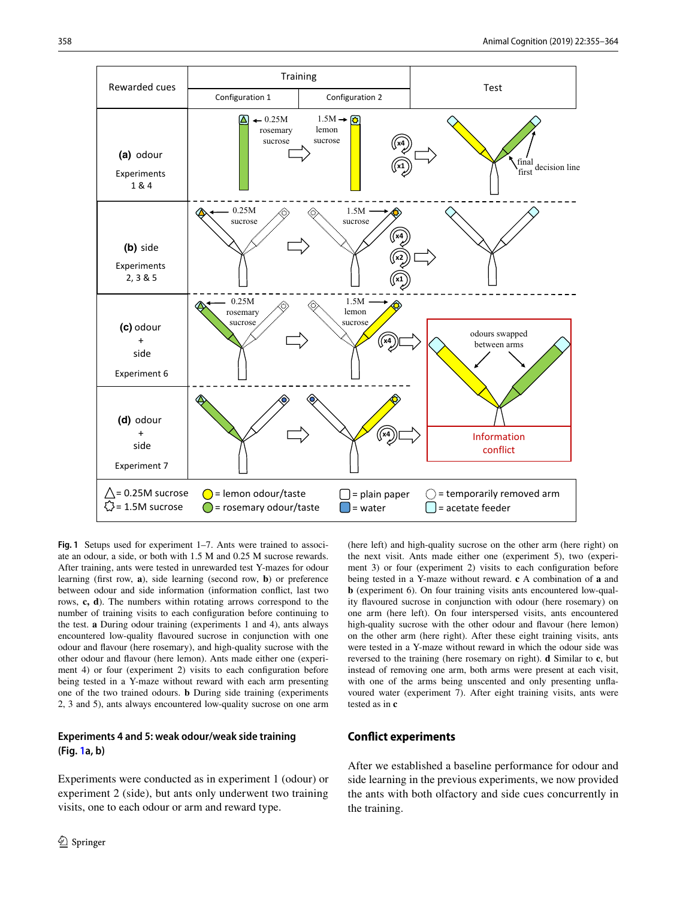

<span id="page-3-0"></span>**Fig. 1** Setups used for experiment 1–7. Ants were trained to associate an odour, a side, or both with 1.5 M and 0.25 M sucrose rewards. After training, ants were tested in unrewarded test Y-mazes for odour learning (first row, **a**), side learning (second row, **b**) or preference between odour and side information (information conflict, last two rows, **c, d**). The numbers within rotating arrows correspond to the number of training visits to each configuration before continuing to the test. **a** During odour training (experiments 1 and 4), ants always encountered low-quality flavoured sucrose in conjunction with one odour and flavour (here rosemary), and high-quality sucrose with the other odour and flavour (here lemon). Ants made either one (experiment 4) or four (experiment 2) visits to each configuration before being tested in a Y-maze without reward with each arm presenting one of the two trained odours. **b** During side training (experiments 2, 3 and 5), ants always encountered low-quality sucrose on one arm

### **Experiments 4 and 5: weak odour/weak side training (Fig. [1](#page-3-0)a, b)**

Experiments were conducted as in experiment 1 (odour) or experiment 2 (side), but ants only underwent two training visits, one to each odour or arm and reward type.

(here left) and high-quality sucrose on the other arm (here right) on the next visit. Ants made either one (experiment 5), two (experiment 3) or four (experiment 2) visits to each configuration before being tested in a Y-maze without reward. **c** A combination of **a** and **b** (experiment 6). On four training visits ants encountered low-quality flavoured sucrose in conjunction with odour (here rosemary) on one arm (here left). On four interspersed visits, ants encountered high-quality sucrose with the other odour and flavour (here lemon) on the other arm (here right). After these eight training visits, ants were tested in a Y-maze without reward in which the odour side was reversed to the training (here rosemary on right). **d** Similar to **c**, but instead of removing one arm, both arms were present at each visit, with one of the arms being unscented and only presenting unflavoured water (experiment 7). After eight training visits, ants were tested as in **c**

### **Conflict experiments**

After we established a baseline performance for odour and side learning in the previous experiments, we now provided the ants with both olfactory and side cues concurrently in the training.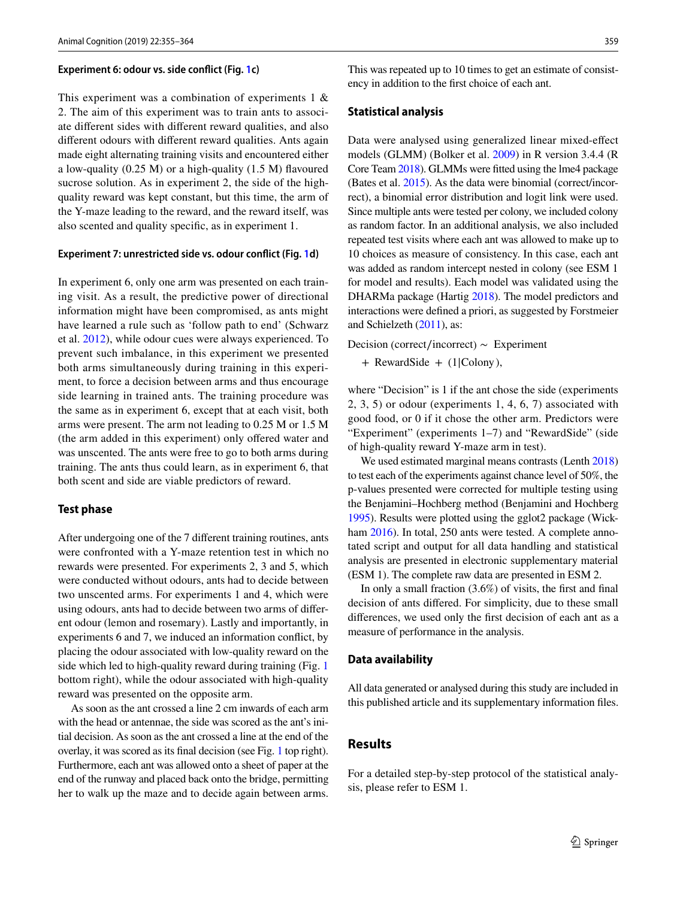#### **Experiment 6: odour vs. side conflict (Fig. [1](#page-3-0)c)**

This experiment was a combination of experiments 1 & 2. The aim of this experiment was to train ants to associate different sides with different reward qualities, and also different odours with different reward qualities. Ants again made eight alternating training visits and encountered either a low-quality (0.25 M) or a high-quality (1.5 M) flavoured sucrose solution. As in experiment 2, the side of the highquality reward was kept constant, but this time, the arm of the Y-maze leading to the reward, and the reward itself, was also scented and quality specific, as in experiment 1.

### **Experiment 7: unrestricted side vs. odour conflict (Fig. [1](#page-3-0)d)**

In experiment 6, only one arm was presented on each training visit. As a result, the predictive power of directional information might have been compromised, as ants might have learned a rule such as 'follow path to end' (Schwarz et al. [2012](#page-9-20)), while odour cues were always experienced. To prevent such imbalance, in this experiment we presented both arms simultaneously during training in this experiment, to force a decision between arms and thus encourage side learning in trained ants. The training procedure was the same as in experiment 6, except that at each visit, both arms were present. The arm not leading to 0.25 M or 1.5 M (the arm added in this experiment) only offered water and was unscented. The ants were free to go to both arms during training. The ants thus could learn, as in experiment 6, that both scent and side are viable predictors of reward.

### <span id="page-4-0"></span>**Test phase**

After undergoing one of the 7 different training routines, ants were confronted with a Y-maze retention test in which no rewards were presented. For experiments 2, 3 and 5, which were conducted without odours, ants had to decide between two unscented arms. For experiments 1 and 4, which were using odours, ants had to decide between two arms of different odour (lemon and rosemary). Lastly and importantly, in experiments 6 and 7, we induced an information conflict, by placing the odour associated with low-quality reward on the side which led to high-quality reward during training (Fig. [1](#page-3-0)) bottom right), while the odour associated with high-quality reward was presented on the opposite arm.

As soon as the ant crossed a line 2 cm inwards of each arm with the head or antennae, the side was scored as the ant's initial decision. As soon as the ant crossed a line at the end of the overlay, it was scored as its final decision (see Fig. [1](#page-3-0) top right). Furthermore, each ant was allowed onto a sheet of paper at the end of the runway and placed back onto the bridge, permitting her to walk up the maze and to decide again between arms.

This was repeated up to 10 times to get an estimate of consistency in addition to the first choice of each ant.

### **Statistical analysis**

Data were analysed using generalized linear mixed-effect models (GLMM) (Bolker et al. [2009\)](#page-7-4) in R version 3.4.4 (R Core Team [2018\)](#page-9-21). GLMMs were fitted using the lme4 package (Bates et al. [2015](#page-7-5)). As the data were binomial (correct/incorrect), a binomial error distribution and logit link were used. Since multiple ants were tested per colony, we included colony as random factor. In an additional analysis, we also included repeated test visits where each ant was allowed to make up to 10 choices as measure of consistency. In this case, each ant was added as random intercept nested in colony (see ESM 1 for model and results). Each model was validated using the DHARMa package (Hartig [2018](#page-8-27)). The model predictors and interactions were defined a priori, as suggested by Forstmeier and Schielzeth ([2011](#page-8-28)), as:

Decision (correct∕incorrect) ∼ Experiment

+ RewardSide + (1|Colony),

where "Decision" is 1 if the ant chose the side (experiments 2, 3, 5) or odour (experiments 1, 4, 6, 7) associated with good food, or 0 if it chose the other arm. Predictors were "Experiment" (experiments 1–7) and "RewardSide" (side of high-quality reward Y-maze arm in test).

We used estimated marginal means contrasts (Lenth [2018\)](#page-9-22) to test each of the experiments against chance level of 50%, the p-values presented were corrected for multiple testing using the Benjamini–Hochberg method (Benjamini and Hochberg [1995\)](#page-7-6). Results were plotted using the gglot2 package (Wick-ham [2016\)](#page-9-23). In total, 250 ants were tested. A complete annotated script and output for all data handling and statistical analysis are presented in electronic supplementary material (ESM 1). The complete raw data are presented in ESM 2.

In only a small fraction (3.6%) of visits, the first and final decision of ants differed. For simplicity, due to these small differences, we used only the first decision of each ant as a measure of performance in the analysis.

#### **Data availability**

All data generated or analysed during this study are included in this published article and its supplementary information files.

## **Results**

For a detailed step-by-step protocol of the statistical analysis, please refer to ESM 1.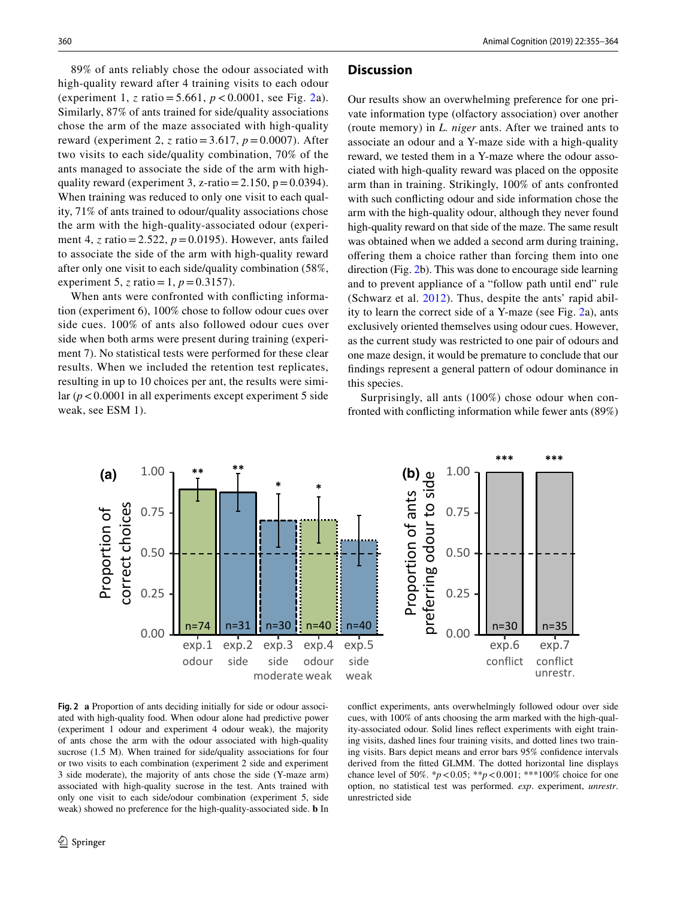89% of ants reliably chose the odour associated with high-quality reward after 4 training visits to each odour (experiment 1, *z* ratio = 5.661, *p* < 0.0001, see Fig. [2](#page-5-0)a). Similarly, 87% of ants trained for side/quality associations chose the arm of the maze associated with high-quality reward (experiment 2, *z* ratio=3.617, *p*=0.0007). After two visits to each side/quality combination, 70% of the ants managed to associate the side of the arm with highquality reward (experiment 3, z-ratio =  $2.150$ , p =  $0.0394$ ). When training was reduced to only one visit to each quality, 71% of ants trained to odour/quality associations chose the arm with the high-quality-associated odour (experiment 4, *z* ratio=2.522, *p*=0.0195). However, ants failed to associate the side of the arm with high-quality reward after only one visit to each side/quality combination (58%, experiment 5, *z* ratio = 1,  $p = 0.3157$ .

When ants were confronted with conflicting information (experiment 6), 100% chose to follow odour cues over side cues. 100% of ants also followed odour cues over side when both arms were present during training (experiment 7). No statistical tests were performed for these clear results. When we included the retention test replicates, resulting in up to 10 choices per ant, the results were similar  $(p < 0.0001$  in all experiments except experiment 5 side weak, see ESM 1).

### **Discussion**

Our results show an overwhelming preference for one private information type (olfactory association) over another (route memory) in *L. niger* ants. After we trained ants to associate an odour and a Y-maze side with a high-quality reward, we tested them in a Y-maze where the odour associated with high-quality reward was placed on the opposite arm than in training. Strikingly, 100% of ants confronted with such conflicting odour and side information chose the arm with the high-quality odour, although they never found high-quality reward on that side of the maze. The same result was obtained when we added a second arm during training, offering them a choice rather than forcing them into one direction (Fig. [2](#page-5-0)b). This was done to encourage side learning and to prevent appliance of a "follow path until end" rule (Schwarz et al. [2012\)](#page-9-20). Thus, despite the ants' rapid ability to learn the correct side of a Y-maze (see Fig. [2a](#page-5-0)), ants exclusively oriented themselves using odour cues. However, as the current study was restricted to one pair of odours and one maze design, it would be premature to conclude that our findings represent a general pattern of odour dominance in this species.

Surprisingly, all ants (100%) chose odour when confronted with conflicting information while fewer ants (89%)





<span id="page-5-0"></span>**Fig. 2 a** Proportion of ants deciding initially for side or odour associated with high-quality food. When odour alone had predictive power (experiment 1 odour and experiment 4 odour weak), the majority of ants chose the arm with the odour associated with high-quality sucrose (1.5 M). When trained for side/quality associations for four or two visits to each combination (experiment 2 side and experiment 3 side moderate), the majority of ants chose the side (Y-maze arm) associated with high-quality sucrose in the test. Ants trained with only one visit to each side/odour combination (experiment 5, side weak) showed no preference for the high-quality-associated side. **b** In

conflict experiments, ants overwhelmingly followed odour over side cues, with 100% of ants choosing the arm marked with the high-quality-associated odour. Solid lines reflect experiments with eight training visits, dashed lines four training visits, and dotted lines two training visits. Bars depict means and error bars 95% confidence intervals derived from the fitted GLMM. The dotted horizontal line displays chance level of 50%.  $* p < 0.05$ ;  $* p < 0.001$ ;  $* *100\%$  choice for one option, no statistical test was performed. *exp*. experiment, *unrestr*. unrestricted side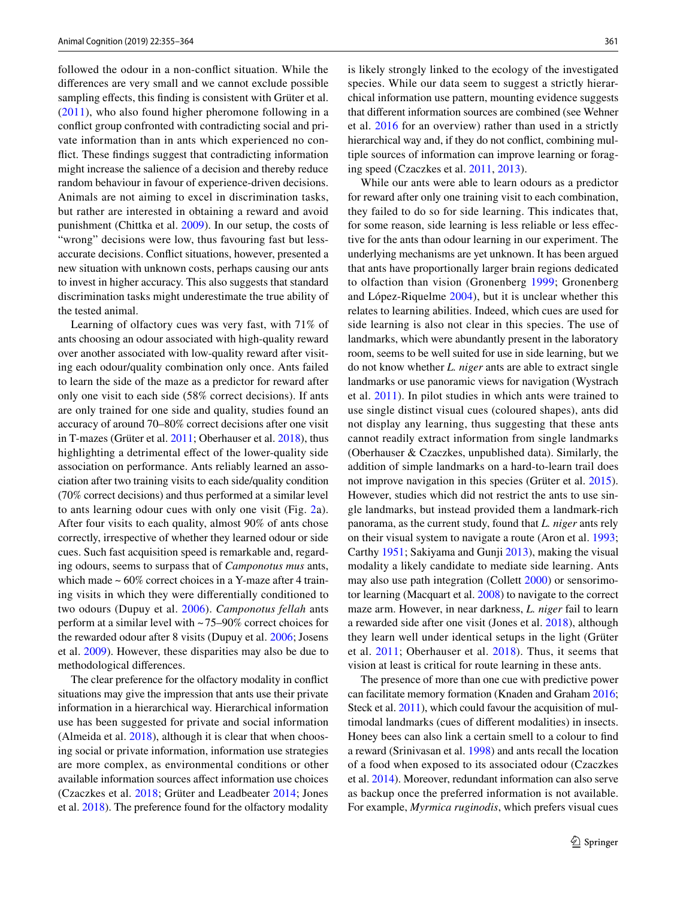followed the odour in a non-conflict situation. While the differences are very small and we cannot exclude possible sampling effects, this finding is consistent with Grüter et al. ([2011](#page-8-3)), who also found higher pheromone following in a conflict group confronted with contradicting social and private information than in ants which experienced no conflict. These findings suggest that contradicting information might increase the salience of a decision and thereby reduce random behaviour in favour of experience-driven decisions. Animals are not aiming to excel in discrimination tasks, but rather are interested in obtaining a reward and avoid punishment (Chittka et al. [2009\)](#page-8-29). In our setup, the costs of "wrong" decisions were low, thus favouring fast but lessaccurate decisions. Conflict situations, however, presented a new situation with unknown costs, perhaps causing our ants to invest in higher accuracy. This also suggests that standard discrimination tasks might underestimate the true ability of the tested animal.

Learning of olfactory cues was very fast, with 71% of ants choosing an odour associated with high-quality reward over another associated with low-quality reward after visiting each odour/quality combination only once. Ants failed to learn the side of the maze as a predictor for reward after only one visit to each side (58% correct decisions). If ants are only trained for one side and quality, studies found an accuracy of around 70–80% correct decisions after one visit in T-mazes (Grüter et al. [2011](#page-8-3); Oberhauser et al. [2018](#page-9-17)), thus highlighting a detrimental effect of the lower-quality side association on performance. Ants reliably learned an association after two training visits to each side/quality condition (70% correct decisions) and thus performed at a similar level to ants learning odour cues with only one visit (Fig. [2a](#page-5-0)). After four visits to each quality, almost 90% of ants chose correctly, irrespective of whether they learned odour or side cues. Such fast acquisition speed is remarkable and, regarding odours, seems to surpass that of *Camponotus mus* ants, which made  $\sim 60\%$  correct choices in a Y-maze after 4 training visits in which they were differentially conditioned to two odours (Dupuy et al. [2006\)](#page-8-17). *Camponotus fellah* ants perform at a similar level with ~75–90% correct choices for the rewarded odour after 8 visits (Dupuy et al. [2006;](#page-8-17) Josens et al. [2009](#page-8-18)). However, these disparities may also be due to methodological differences.

The clear preference for the olfactory modality in conflict situations may give the impression that ants use their private information in a hierarchical way. Hierarchical information use has been suggested for private and social information (Almeida et al. [2018](#page-7-0)), although it is clear that when choosing social or private information, information use strategies are more complex, as environmental conditions or other available information sources affect information use choices (Czaczkes et al. [2018](#page-8-30); Grüter and Leadbeater [2014;](#page-8-1) Jones et al. [2018](#page-8-24)). The preference found for the olfactory modality

is likely strongly linked to the ecology of the investigated species. While our data seem to suggest a strictly hierarchical information use pattern, mounting evidence suggests that different information sources are combined (see Wehner et al. [2016](#page-9-24) for an overview) rather than used in a strictly hierarchical way and, if they do not conflict, combining multiple sources of information can improve learning or foraging speed (Czaczkes et al. [2011,](#page-8-31) [2013](#page-8-21)).

While our ants were able to learn odours as a predictor for reward after only one training visit to each combination, they failed to do so for side learning. This indicates that, for some reason, side learning is less reliable or less effective for the ants than odour learning in our experiment. The underlying mechanisms are yet unknown. It has been argued that ants have proportionally larger brain regions dedicated to olfaction than vision (Gronenberg [1999](#page-8-14); Gronenberg and López-Riquelme [2004](#page-8-15)), but it is unclear whether this relates to learning abilities. Indeed, which cues are used for side learning is also not clear in this species. The use of landmarks, which were abundantly present in the laboratory room, seems to be well suited for use in side learning, but we do not know whether *L. niger* ants are able to extract single landmarks or use panoramic views for navigation (Wystrach et al. [2011\)](#page-9-10). In pilot studies in which ants were trained to use single distinct visual cues (coloured shapes), ants did not display any learning, thus suggesting that these ants cannot readily extract information from single landmarks (Oberhauser & Czaczkes, unpublished data). Similarly, the addition of simple landmarks on a hard-to-learn trail does not improve navigation in this species (Grüter et al. [2015](#page-8-4)). However, studies which did not restrict the ants to use single landmarks, but instead provided them a landmark-rich panorama, as the current study, found that *L. niger* ants rely on their visual system to navigate a route (Aron et al. [1993](#page-7-7); Carthy [1951](#page-8-32); Sakiyama and Gunji [2013](#page-9-25)), making the visual modality a likely candidate to mediate side learning. Ants may also use path integration (Collett [2000\)](#page-8-33) or sensorimotor learning (Macquart et al. [2008](#page-9-12)) to navigate to the correct maze arm. However, in near darkness, *L. niger* fail to learn a rewarded side after one visit (Jones et al. [2018](#page-8-24)), although they learn well under identical setups in the light (Grüter et al. [2011](#page-8-3); Oberhauser et al. [2018](#page-9-17)). Thus, it seems that vision at least is critical for route learning in these ants.

The presence of more than one cue with predictive power can facilitate memory formation (Knaden and Graham [2016](#page-9-9); Steck et al. [2011\)](#page-9-14), which could favour the acquisition of multimodal landmarks (cues of different modalities) in insects. Honey bees can also link a certain smell to a colour to find a reward (Srinivasan et al. [1998](#page-9-26)) and ants recall the location of a food when exposed to its associated odour (Czaczkes et al. [2014](#page-8-34)). Moreover, redundant information can also serve as backup once the preferred information is not available. For example, *Myrmica ruginodis*, which prefers visual cues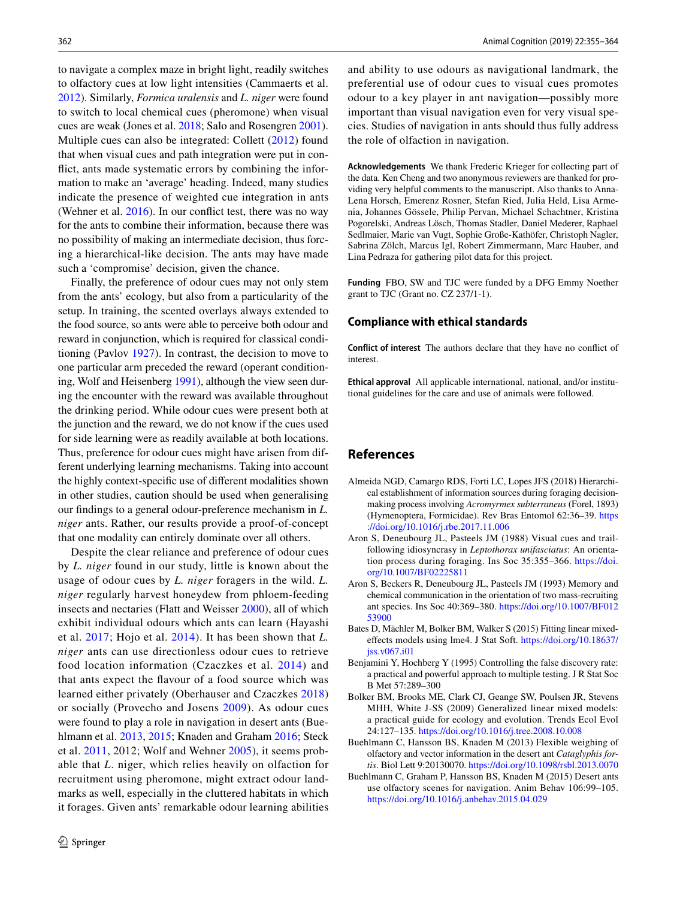to navigate a complex maze in bright light, readily switches to olfactory cues at low light intensities (Cammaerts et al. [2012\)](#page-8-35). Similarly, *Formica uralensis* and *L. niger* were found to switch to local chemical cues (pheromone) when visual cues are weak (Jones et al. [2018](#page-8-24); Salo and Rosengren [2001](#page-9-27)). Multiple cues can also be integrated: Collett ([2012\)](#page-8-2) found that when visual cues and path integration were put in conflict, ants made systematic errors by combining the information to make an 'average' heading. Indeed, many studies indicate the presence of weighted cue integration in ants (Wehner et al. [2016](#page-9-24)). In our conflict test, there was no way for the ants to combine their information, because there was no possibility of making an intermediate decision, thus forcing a hierarchical-like decision. The ants may have made such a 'compromise' decision, given the chance.

Finally, the preference of odour cues may not only stem from the ants' ecology, but also from a particularity of the setup. In training, the scented overlays always extended to the food source, so ants were able to perceive both odour and reward in conjunction, which is required for classical conditioning (Pavlov [1927](#page-9-28)). In contrast, the decision to move to one particular arm preceded the reward (operant conditioning, Wolf and Heisenberg [1991](#page-9-29)), although the view seen during the encounter with the reward was available throughout the drinking period. While odour cues were present both at the junction and the reward, we do not know if the cues used for side learning were as readily available at both locations. Thus, preference for odour cues might have arisen from different underlying learning mechanisms. Taking into account the highly context-specific use of different modalities shown in other studies, caution should be used when generalising our findings to a general odour-preference mechanism in *L. niger* ants. Rather, our results provide a proof-of-concept that one modality can entirely dominate over all others.

Despite the clear reliance and preference of odour cues by *L. niger* found in our study, little is known about the usage of odour cues by *L. niger* foragers in the wild. *L. niger* regularly harvest honeydew from phloem-feeding insects and nectaries (Flatt and Weisser [2000\)](#page-8-20), all of which exhibit individual odours which ants can learn (Hayashi et al. [2017](#page-8-36); Hojo et al. [2014](#page-8-37)). It has been shown that *L. niger* ants can use directionless odour cues to retrieve food location information (Czaczkes et al. [2014](#page-8-34)) and that ants expect the flavour of a food source which was learned either privately (Oberhauser and Czaczkes [2018\)](#page-9-18) or socially (Provecho and Josens [2009](#page-9-30)). As odour cues were found to play a role in navigation in desert ants (Buehlmann et al. [2013,](#page-7-2) [2015;](#page-7-3) Knaden and Graham [2016;](#page-9-9) Steck et al. [2011,](#page-9-14) 2012; Wolf and Wehner [2005\)](#page-9-15), it seems probable that *L*. niger, which relies heavily on olfaction for recruitment using pheromone, might extract odour landmarks as well, especially in the cluttered habitats in which it forages. Given ants' remarkable odour learning abilities and ability to use odours as navigational landmark, the preferential use of odour cues to visual cues promotes odour to a key player in ant navigation—possibly more important than visual navigation even for very visual species. Studies of navigation in ants should thus fully address the role of olfaction in navigation.

**Acknowledgements** We thank Frederic Krieger for collecting part of the data. Ken Cheng and two anonymous reviewers are thanked for providing very helpful comments to the manuscript. Also thanks to Anna-Lena Horsch, Emerenz Rosner, Stefan Ried, Julia Held, Lisa Armenia, Johannes Gössele, Philip Pervan, Michael Schachtner, Kristina Pogorelski, Andreas Lösch, Thomas Stadler, Daniel Mederer, Raphael Sedlmaier, Marie van Vugt, Sophie Große-Kathöfer, Christoph Nagler, Sabrina Zölch, Marcus Igl, Robert Zimmermann, Marc Hauber, and Lina Pedraza for gathering pilot data for this project.

**Funding** FBO, SW and TJC were funded by a DFG Emmy Noether grant to TJC (Grant no. CZ 237/1-1).

### **Compliance with ethical standards**

**Conflict of interest** The authors declare that they have no conflict of interest.

**Ethical approval** All applicable international, national, and/or institutional guidelines for the care and use of animals were followed.

### **References**

- <span id="page-7-0"></span>Almeida NGD, Camargo RDS, Forti LC, Lopes JFS (2018) Hierarchical establishment of information sources during foraging decisionmaking process involving *Acromyrmex subterraneus* (Forel, 1893) (Hymenoptera, Formicidae). Rev Bras Entomol 62:36–39. [https](https://doi.org/10.1016/j.rbe.2017.11.006) [://doi.org/10.1016/j.rbe.2017.11.006](https://doi.org/10.1016/j.rbe.2017.11.006)
- <span id="page-7-1"></span>Aron S, Deneubourg JL, Pasteels JM (1988) Visual cues and trailfollowing idiosyncrasy in *Leptothorax unifasciatus*: An orientation process during foraging. Ins Soc 35:355–366. [https://doi.](https://doi.org/10.1007/BF02225811) [org/10.1007/BF02225811](https://doi.org/10.1007/BF02225811)
- <span id="page-7-7"></span>Aron S, Beckers R, Deneubourg JL, Pasteels JM (1993) Memory and chemical communication in the orientation of two mass-recruiting ant species. Ins Soc 40:369–380. [https://doi.org/10.1007/BF012](https://doi.org/10.1007/BF01253900) [53900](https://doi.org/10.1007/BF01253900)
- <span id="page-7-5"></span>Bates D, Mächler M, Bolker BM, Walker S (2015) Fitting linear mixedeffects models using lme4. J Stat Soft. [https://doi.org/10.18637/](https://doi.org/10.18637/jss.v067.i01) [jss.v067.i01](https://doi.org/10.18637/jss.v067.i01)
- <span id="page-7-6"></span>Benjamini Y, Hochberg Y (1995) Controlling the false discovery rate: a practical and powerful approach to multiple testing. J R Stat Soc B Met 57:289–300
- <span id="page-7-4"></span>Bolker BM, Brooks ME, Clark CJ, Geange SW, Poulsen JR, Stevens MHH, White J-SS (2009) Generalized linear mixed models: a practical guide for ecology and evolution. Trends Ecol Evol 24:127–135.<https://doi.org/10.1016/j.tree.2008.10.008>
- <span id="page-7-2"></span>Buehlmann C, Hansson BS, Knaden M (2013) Flexible weighing of olfactory and vector information in the desert ant *Cataglyphis fortis*. Biol Lett 9:20130070.<https://doi.org/10.1098/rsbl.2013.0070>
- <span id="page-7-3"></span>Buehlmann C, Graham P, Hansson BS, Knaden M (2015) Desert ants use olfactory scenes for navigation. Anim Behav 106:99–105. <https://doi.org/10.1016/j.anbehav.2015.04.029>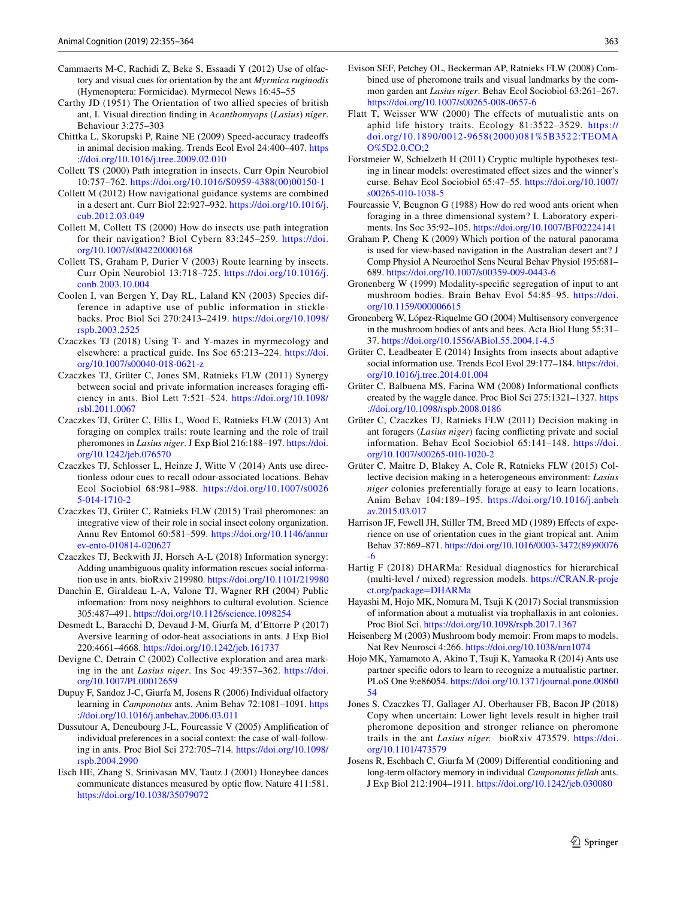- <span id="page-8-35"></span>Cammaerts M-C, Rachidi Z, Beke S, Essaadi Y (2012) Use of olfactory and visual cues for orientation by the ant *Myrmica ruginodis* (Hymenoptera: Formicidae). Myrmecol News 16:45–55
- <span id="page-8-32"></span>Carthy JD (1951) The Orientation of two allied species of british ant, I. Visual direction finding in *Acanthomyops* (*Lasius*) *niger*. Behaviour 3:275–303
- <span id="page-8-29"></span>Chittka L, Skorupski P, Raine NE (2009) Speed-accuracy tradeoffs in animal decision making. Trends Ecol Evol 24:400–407. [https](https://doi.org/10.1016/j.tree.2009.02.010) [://doi.org/10.1016/j.tree.2009.02.010](https://doi.org/10.1016/j.tree.2009.02.010)
- <span id="page-8-33"></span>Collett TS (2000) Path integration in insects. Curr Opin Neurobiol 10:757–762. [https://doi.org/10.1016/S0959-4388\(00\)00150-1](https://doi.org/10.1016/S0959-4388(00)00150-1)
- <span id="page-8-2"></span>Collett M (2012) How navigational guidance systems are combined in a desert ant. Curr Biol 22:927–932. [https://doi.org/10.1016/j.](https://doi.org/10.1016/j.cub.2012.03.049) [cub.2012.03.049](https://doi.org/10.1016/j.cub.2012.03.049)
- <span id="page-8-13"></span>Collett M, Collett TS (2000) How do insects use path integration for their navigation? Biol Cybern 83:245–259. [https://doi.](https://doi.org/10.1007/s004220000168) [org/10.1007/s004220000168](https://doi.org/10.1007/s004220000168)
- <span id="page-8-5"></span>Collett TS, Graham P, Durier V (2003) Route learning by insects. Curr Opin Neurobiol 13:718–725. [https://doi.org/10.1016/j.](https://doi.org/10.1016/j.conb.2003.10.004) [conb.2003.10.004](https://doi.org/10.1016/j.conb.2003.10.004)
- <span id="page-8-9"></span>Coolen I, van Bergen Y, Day RL, Laland KN (2003) Species difference in adaptive use of public information in sticklebacks. Proc Biol Sci 270:2413–2419. [https://doi.org/10.1098/](https://doi.org/10.1098/rspb.2003.2525) [rspb.2003.2525](https://doi.org/10.1098/rspb.2003.2525)
- <span id="page-8-26"></span>Czaczkes TJ (2018) Using T- and Y-mazes in myrmecology and elsewhere: a practical guide. Ins Soc 65:213–224. [https://doi.](https://doi.org/10.1007/s00040-018-0621-z) [org/10.1007/s00040-018-0621-z](https://doi.org/10.1007/s00040-018-0621-z)
- <span id="page-8-31"></span>Czaczkes TJ, Grüter C, Jones SM, Ratnieks FLW (2011) Synergy between social and private information increases foraging efficiency in ants. Biol Lett 7:521–524. [https://doi.org/10.1098/](https://doi.org/10.1098/rsbl.2011.0067) [rsbl.2011.0067](https://doi.org/10.1098/rsbl.2011.0067)
- <span id="page-8-21"></span>Czaczkes TJ, Grüter C, Ellis L, Wood E, Ratnieks FLW (2013) Ant foraging on complex trails: route learning and the role of trail pheromones in *Lasius niger*. J Exp Biol 216:188–197. [https://doi.](https://doi.org/10.1242/jeb.076570) [org/10.1242/jeb.076570](https://doi.org/10.1242/jeb.076570)
- <span id="page-8-34"></span>Czaczkes TJ, Schlosser L, Heinze J, Witte V (2014) Ants use directionless odour cues to recall odour-associated locations. Behav Ecol Sociobiol 68:981–988. [https://doi.org/10.1007/s0026](https://doi.org/10.1007/s00265-014-1710-2) [5-014-1710-2](https://doi.org/10.1007/s00265-014-1710-2)
- <span id="page-8-12"></span>Czaczkes TJ, Grüter C, Ratnieks FLW (2015) Trail pheromones: an integrative view of their role in social insect colony organization. Annu Rev Entomol 60:581–599. [https://doi.org/10.1146/annur](https://doi.org/10.1146/annurev-ento-010814-020627) [ev-ento-010814-020627](https://doi.org/10.1146/annurev-ento-010814-020627)
- <span id="page-8-30"></span>Czaczkes TJ, Beckwith JJ, Horsch A-L (2018) Information synergy: Adding unambiguous quality information rescues social information use in ants. bioRxiv 219980. <https://doi.org/10.1101/219980>
- <span id="page-8-0"></span>Danchin E, Giraldeau L-A, Valone TJ, Wagner RH (2004) Public information: from nosy neighbors to cultural evolution. Science 305:487–491. <https://doi.org/10.1126/science.1098254>
- <span id="page-8-19"></span>Desmedt L, Baracchi D, Devaud J-M, Giurfa M, d'Ettorre P (2017) Aversive learning of odor-heat associations in ants. J Exp Biol 220:4661–4668.<https://doi.org/10.1242/jeb.161737>
- <span id="page-8-22"></span>Devigne C, Detrain C (2002) Collective exploration and area marking in the ant *Lasius niger*. Ins Soc 49:357–362. [https://doi.](https://doi.org/10.1007/PL00012659) [org/10.1007/PL00012659](https://doi.org/10.1007/PL00012659)
- <span id="page-8-17"></span>Dupuy F, Sandoz J-C, Giurfa M, Josens R (2006) Individual olfactory learning in *Camponotus* ants. Anim Behav 72:1081–1091. [https](https://doi.org/10.1016/j.anbehav.2006.03.011) [://doi.org/10.1016/j.anbehav.2006.03.011](https://doi.org/10.1016/j.anbehav.2006.03.011)
- <span id="page-8-25"></span>Dussutour A, Deneubourg J-L, Fourcassie V (2005) Amplification of individual preferences in a social context: the case of wall-following in ants. Proc Biol Sci 272:705–714. [https://doi.org/10.1098/](https://doi.org/10.1098/rspb.2004.2990) [rspb.2004.2990](https://doi.org/10.1098/rspb.2004.2990)
- <span id="page-8-10"></span>Esch HE, Zhang S, Srinivasan MV, Tautz J (2001) Honeybee dances communicate distances measured by optic flow. Nature 411:581. <https://doi.org/10.1038/35079072>
- <span id="page-8-23"></span>Evison SEF, Petchey OL, Beckerman AP, Ratnieks FLW (2008) Combined use of pheromone trails and visual landmarks by the common garden ant *Lasius niger*. Behav Ecol Sociobiol 63:261–267. <https://doi.org/10.1007/s00265-008-0657-6>
- <span id="page-8-20"></span>Flatt T, Weisser WW (2000) The effects of mutualistic ants on aphid life history traits. Ecology 81:3522–3529. [https://](https://doi.org/10.1890/0012-9658(2000)081%5B3522:TEOMAO%5D2.0.CO;2) [doi.org/10.1890/0012-9658\(2000\)081%5B352](https://doi.org/10.1890/0012-9658(2000)081%5B3522:TEOMAO%5D2.0.CO;2) 2:TEOMA [O%5D2.0.CO;2](https://doi.org/10.1890/0012-9658(2000)081%5B3522:TEOMAO%5D2.0.CO;2)
- <span id="page-8-28"></span>Forstmeier W, Schielzeth H (2011) Cryptic multiple hypotheses testing in linear models: overestimated effect sizes and the winner's curse. Behav Ecol Sociobiol 65:47–55. [https://doi.org/10.1007/](https://doi.org/10.1007/s00265-010-1038-5) [s00265-010-1038-5](https://doi.org/10.1007/s00265-010-1038-5)
- <span id="page-8-6"></span>Fourcassie V, Beugnon G (1988) How do red wood ants orient when foraging in a three dimensional system? I. Laboratory experiments. Ins Soc 35:92–105.<https://doi.org/10.1007/BF02224141>
- <span id="page-8-11"></span>Graham P, Cheng K (2009) Which portion of the natural panorama is used for view-based navigation in the Australian desert ant? J Comp Physiol A Neuroethol Sens Neural Behav Physiol 195:681– 689.<https://doi.org/10.1007/s00359-009-0443-6>
- <span id="page-8-14"></span>Gronenberg W (1999) Modality-specific segregation of input to ant mushroom bodies. Brain Behav Evol 54:85–95. [https://doi.](https://doi.org/10.1159/000006615) [org/10.1159/000006615](https://doi.org/10.1159/000006615)
- <span id="page-8-15"></span>Gronenberg W, López-Riquelme GO (2004) Multisensory convergence in the mushroom bodies of ants and bees. Acta Biol Hung 55:31– 37.<https://doi.org/10.1556/ABiol.55.2004.1-4.5>
- <span id="page-8-1"></span>Grüter C, Leadbeater E (2014) Insights from insects about adaptive social information use. Trends Ecol Evol 29:177–184. [https://doi.](https://doi.org/10.1016/j.tree.2014.01.004) [org/10.1016/j.tree.2014.01.004](https://doi.org/10.1016/j.tree.2014.01.004)
- <span id="page-8-7"></span>Grüter C, Balbuena MS, Farina WM (2008) Informational conflicts created by the waggle dance. Proc Biol Sci 275:1321–1327. [https](https://doi.org/10.1098/rspb.2008.0186) [://doi.org/10.1098/rspb.2008.0186](https://doi.org/10.1098/rspb.2008.0186)
- <span id="page-8-3"></span>Grüter C, Czaczkes TJ, Ratnieks FLW (2011) Decision making in ant foragers (*Lasius niger*) facing conflicting private and social information. Behav Ecol Sociobiol 65:141–148. [https://doi.](https://doi.org/10.1007/s00265-010-1020-2) [org/10.1007/s00265-010-1020-2](https://doi.org/10.1007/s00265-010-1020-2)
- <span id="page-8-4"></span>Grüter C, Maitre D, Blakey A, Cole R, Ratnieks FLW (2015) Collective decision making in a heterogeneous environment: *Lasius niger* colonies preferentially forage at easy to learn locations. Anim Behav 104:189–195. [https://doi.org/10.1016/j.anbeh](https://doi.org/10.1016/j.anbehav.2015.03.017) [av.2015.03.017](https://doi.org/10.1016/j.anbehav.2015.03.017)
- <span id="page-8-8"></span>Harrison JF, Fewell JH, Stiller TM, Breed MD (1989) Effects of experience on use of orientation cues in the giant tropical ant. Anim Behav 37:869–871. [https://doi.org/10.1016/0003-3472\(89\)90076](https://doi.org/10.1016/0003-3472(89)90076-6) [-6](https://doi.org/10.1016/0003-3472(89)90076-6)
- <span id="page-8-27"></span>Hartig F (2018) DHARMa: Residual diagnostics for hierarchical (multi-level / mixed) regression models. [https://CRAN.R-proje](https://CRAN.R-project.org/package=DHARMa) [ct.org/package=DHARMa](https://CRAN.R-project.org/package=DHARMa)
- <span id="page-8-36"></span>Hayashi M, Hojo MK, Nomura M, Tsuji K (2017) Social transmission of information about a mutualist via trophallaxis in ant colonies. Proc Biol Sci.<https://doi.org/10.1098/rspb.2017.1367>
- <span id="page-8-16"></span>Heisenberg M (2003) Mushroom body memoir: From maps to models. Nat Rev Neurosci 4:266. <https://doi.org/10.1038/nrn1074>
- <span id="page-8-37"></span>Hojo MK, Yamamoto A, Akino T, Tsuji K, Yamaoka R (2014) Ants use partner specific odors to learn to recognize a mutualistic partner. PLoS One 9:e86054. [https://doi.org/10.1371/journal.pone.00860](https://doi.org/10.1371/journal.pone.0086054) [54](https://doi.org/10.1371/journal.pone.0086054)
- <span id="page-8-24"></span>Jones S, Czaczkes TJ, Gallager AJ, Oberhauser FB, Bacon JP (2018) Copy when uncertain: Lower light levels result in higher trail pheromone deposition and stronger reliance on pheromone trails in the ant *Lasius niger.* bioRxiv 473579. [https://doi.](https://doi.org/10.1101/473579) [org/10.1101/473579](https://doi.org/10.1101/473579)
- <span id="page-8-18"></span>Josens R, Eschbach C, Giurfa M (2009) Differential conditioning and long-term olfactory memory in individual *Camponotus fellah* ants. J Exp Biol 212:1904–1911.<https://doi.org/10.1242/jeb.030080>